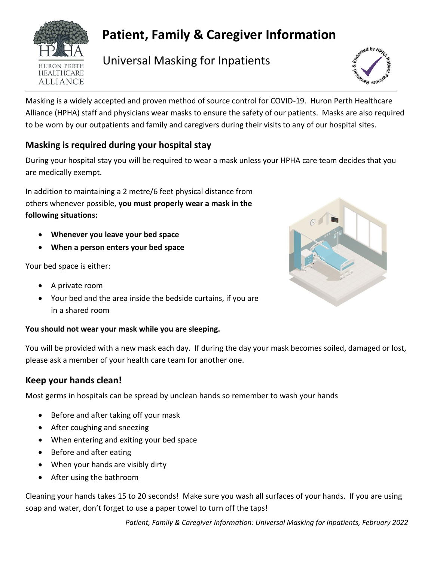

# **Patient, Family & Caregiver Information**

 $\frac{1}{\text{HURON PERTH}}$  Universal Masking for Inpatients



Masking is a widely accepted and proven method of source control for COVID-19. Huron Perth Healthcare Alliance (HPHA) staff and physicians wear masks to ensure the safety of our patients. Masks are also required to be worn by our outpatients and family and caregivers during their visits to any of our hospital sites.

## **Masking is required during your hospital stay**

During your hospital stay you will be required to wear a mask unless your HPHA care team decides that you are medically exempt.

In addition to maintaining a 2 metre/6 feet physical distance from others whenever possible, **you must properly wear a mask in the following situations:**

- **Whenever you leave your bed space**
- **When a person enters your bed space**

Your bed space is either:

- A private room
- Your bed and the area inside the bedside curtains, if you are in a shared room

#### **You should not wear your mask while you are sleeping.**

You will be provided with a new mask each day. If during the day your mask becomes soiled, damaged or lost, please ask a member of your health care team for another one.

## **Keep your hands clean!**

Most germs in hospitals can be spread by unclean hands so remember to wash your hands

- Before and after taking off your mask
- After coughing and sneezing
- When entering and exiting your bed space
- Before and after eating
- When your hands are visibly dirty
- After using the bathroom

Cleaning your hands takes 15 to 20 seconds! Make sure you wash all surfaces of your hands. If you are using soap and water, don't forget to use a paper towel to turn off the taps!